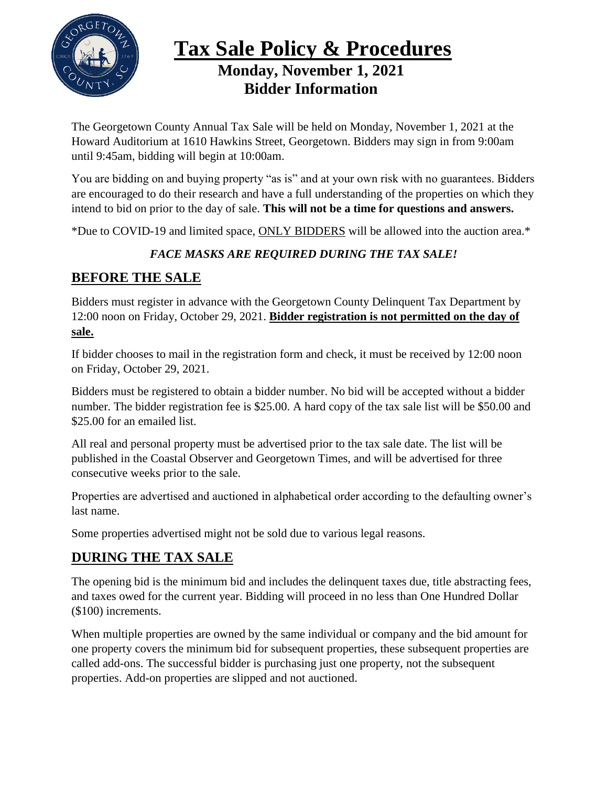

# **Tax Sale Policy & Procedures Monday, November 1, 2021 Bidder Information**

The Georgetown County Annual Tax Sale will be held on Monday, November 1, 2021 at the Howard Auditorium at 1610 Hawkins Street, Georgetown. Bidders may sign in from 9:00am until 9:45am, bidding will begin at 10:00am.

You are bidding on and buying property "as is" and at your own risk with no guarantees. Bidders are encouraged to do their research and have a full understanding of the properties on which they intend to bid on prior to the day of sale. **This will not be a time for questions and answers.**

\*Due to COVID-19 and limited space, ONLY BIDDERS will be allowed into the auction area.\*

#### *FACE MASKS ARE REQUIRED DURING THE TAX SALE!*

#### **BEFORE THE SALE**

Bidders must register in advance with the Georgetown County Delinquent Tax Department by 12:00 noon on Friday, October 29, 2021. **Bidder registration is not permitted on the day of sale.**

If bidder chooses to mail in the registration form and check, it must be received by 12:00 noon on Friday, October 29, 2021.

Bidders must be registered to obtain a bidder number. No bid will be accepted without a bidder number. The bidder registration fee is \$25.00. A hard copy of the tax sale list will be \$50.00 and \$25.00 for an emailed list.

All real and personal property must be advertised prior to the tax sale date. The list will be published in the Coastal Observer and Georgetown Times, and will be advertised for three consecutive weeks prior to the sale.

Properties are advertised and auctioned in alphabetical order according to the defaulting owner's last name.

Some properties advertised might not be sold due to various legal reasons.

#### **DURING THE TAX SALE**

The opening bid is the minimum bid and includes the delinquent taxes due, title abstracting fees, and taxes owed for the current year. Bidding will proceed in no less than One Hundred Dollar (\$100) increments.

When multiple properties are owned by the same individual or company and the bid amount for one property covers the minimum bid for subsequent properties, these subsequent properties are called add-ons. The successful bidder is purchasing just one property, not the subsequent properties. Add-on properties are slipped and not auctioned.